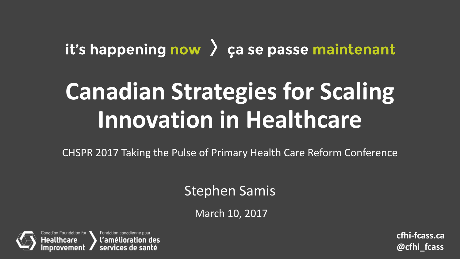### it's happening now  $\lambda$  ça se passe maintenant

## **Canadian Strategies for Scaling Innovation in Healthcare**

CHSPR 2017 Taking the Pulse of Primary Health Care Reform Conference

### Stephen Samis

March 10, 2017

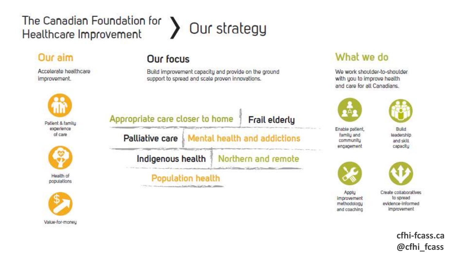### The Canadian Foundation for Healthcare Improvement

A

#### Our aim

Accelerate healthcare improvement.





populations



## Our strategy

#### **Our focus**

Build improvement capacity and provide on the ground support to spread and scale proven innovations.

|  | Palliative care   Mental health and addictions |                                         |  |
|--|------------------------------------------------|-----------------------------------------|--|
|  |                                                | Indigenous health   Northern and remote |  |

#### What we do

We work shoulder-to-shoulder with you to improve health and care for all Canadians.





Enable patient, family and community engagement

Build teadership and skill capacity



Applu



Create collaboratives to spread improvement methodology evidence-informed and coaching *improvement*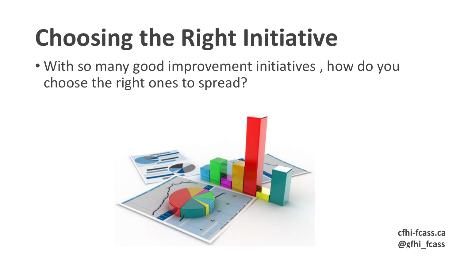# **Choosing the Right Initiative**

• With so many good improvement initiatives , how do you choose the right ones to spread?

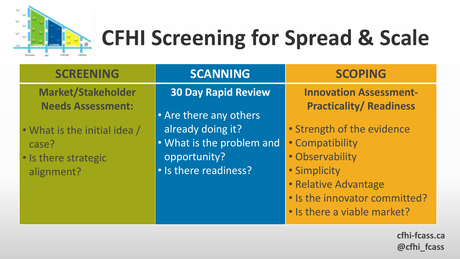

## **CFHI Screening for Spread & Scale**

| <b>SCREENING</b>                                                            | <b>SCANNING</b>                                                                         | <b>SCOPING</b>                                                                                                                            |
|-----------------------------------------------------------------------------|-----------------------------------------------------------------------------------------|-------------------------------------------------------------------------------------------------------------------------------------------|
| <b>Market/Stakeholder</b><br><b>Needs Assessment:</b>                       | <b>30 Day Rapid Review</b><br>• Are there any others                                    | <b>Innovation Assessment-</b><br><b>Practicality/Readiness</b>                                                                            |
| • What is the initial idea /<br>case?<br>· Is there strategic<br>alignment? | already doing it?<br>• What is the problem and<br>opportunity?<br>• Is there readiness? | • Strength of the evidence<br>· Compatibility<br>· Observability<br>· Simplicity<br>• Relative Advantage<br>. Is the innovator committed? |
|                                                                             |                                                                                         | • Is there a viable market?                                                                                                               |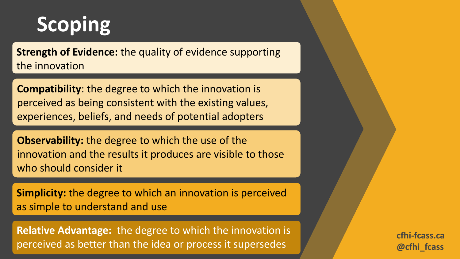### **Scoping**

**Strength of Evidence:** the quality of evidence supporting the innovation

**Compatibility**: the degree to which the innovation is perceived as being consistent with the existing values, experiences, beliefs, and needs of potential adopters

**Observability:** the degree to which the use of the innovation and the results it produces are visible to those who should consider it

**Simplicity:** the degree to which an innovation is perceived as simple to understand and use

**Relative Advantage:** the degree to which the innovation is perceived as better than the idea or process it supersedes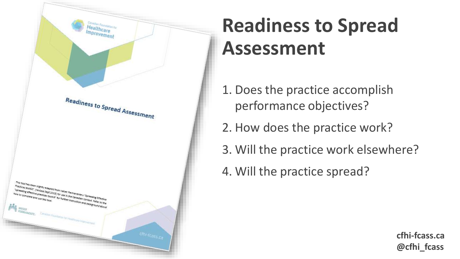

### **Readiness to Spread Assessment**

- 1. Does the practice accomplish performance objectives?
- 2. How does the practice work?
- 3. Will the practice work elsewhere?
- 4. Will the practice spread?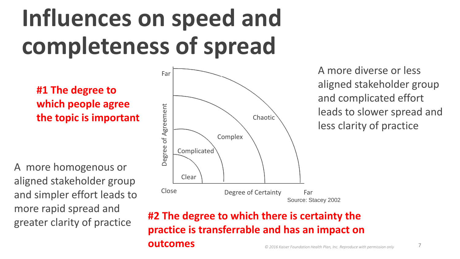## **Influences on speed and completeness of spread**

**#1 The degree to which people agree the topic is important**

A more homogenous or aligned stakeholder group and simpler effort leads to more rapid spread and greater clarity of practice



A more diverse or less aligned stakeholder group and complicated effort leads to slower spread and less clarity of practice

#### **#2 The degree to which there is certainty the practice is transferrable and has an impact on outcomes**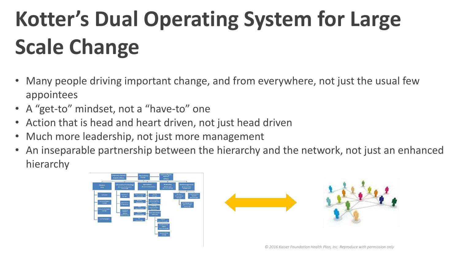## **Kotter's Dual Operating System for Large Scale Change**

- Many people driving important change, and from everywhere, not just the usual few appointees
- A "get-to" mindset, not a "have-to" one
- Action that is head and heart driven, not just head driven
- Much more leadership, not just more management
- An inseparable partnership between the hierarchy and the network, not just an enhanced hierarchy

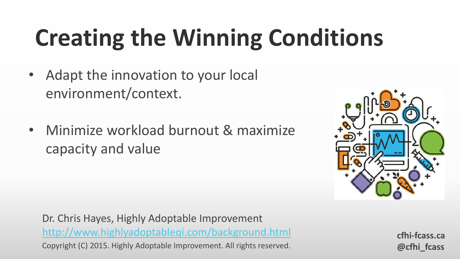# **Creating the Winning Conditions**

- Adapt the innovation to your local environment/context.
- Minimize workload burnout & maximize capacity and value



Dr. Chris Hayes, Highly Adoptable Improvement <http://www.highlyadoptableqi.com/background.html> Copyright (C) 2015. Highly Adoptable Improvement. All rights reserved.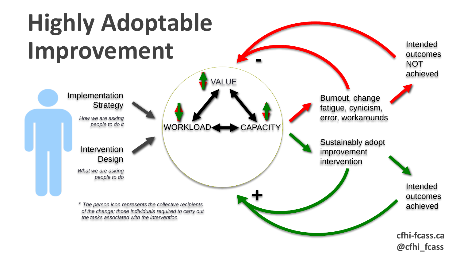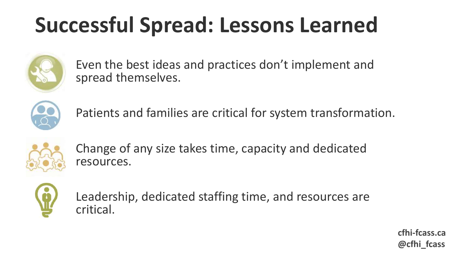## **Successful Spread: Lessons Learned**



Even the best ideas and practices don't implement and spread themselves.



Patients and families are critical for system transformation.



Change of any size takes time, capacity and dedicated resources.



Leadership, dedicated staffing time, and resources are critical.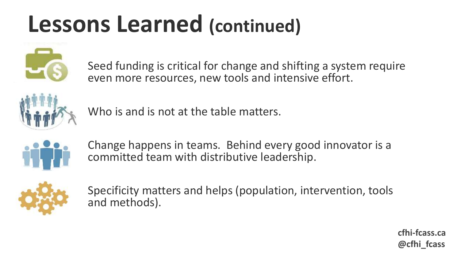## **Lessons Learned (continued)**



Seed funding is critical for change and shifting a system require even more resources, new tools and intensive effort.



Who is and is not at the table matters.



Change happens in teams. Behind every good innovator is a committed team with distributive leadership.



Specificity matters and helps (population, intervention, tools and methods).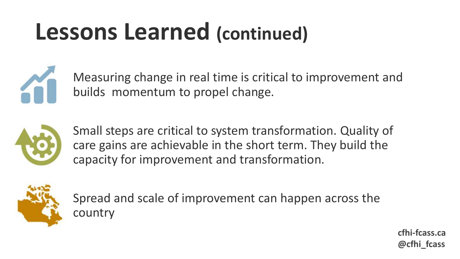## **Lessons Learned (continued)**



Measuring change in real time is critical to improvement and builds momentum to propel change.



Small steps are critical to system transformation. Quality of care gains are achievable in the short term. They build the capacity for improvement and transformation.



Spread and scale of improvement can happen across the country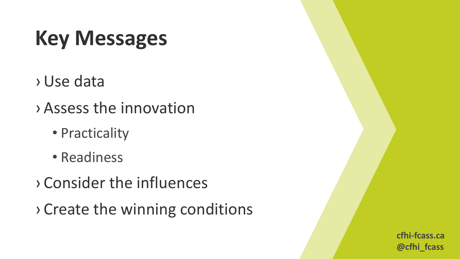## **Key Messages**

- › Use data
- › Assess the innovation
	- Practicality
	- Readiness
- › Consider the influences
- › Create the winning conditions